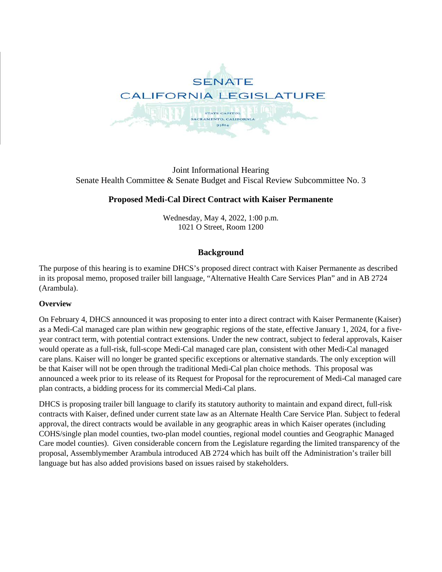

Joint Informational Hearing Senate Health Committee & Senate Budget and Fiscal Review Subcommittee No. 3

# **Proposed Medi-Cal Direct Contract with Kaiser Permanente**

Wednesday, May 4, 2022, 1:00 p.m. 1021 O Street, Room 1200

## **Background**

The purpose of this hearing is to examine DHCS's proposed direct contract with Kaiser Permanente as described in its proposal memo, proposed trailer bill language, "Alternative Health Care Services Plan" and in AB 2724 (Arambula).

### **Overview**

On February 4, DHCS announced it was proposing to enter into a direct contract with Kaiser Permanente (Kaiser) as a Medi-Cal managed care plan within new geographic regions of the state, effective January 1, 2024, for a fiveyear contract term, with potential contract extensions. Under the new contract, subject to federal approvals, Kaiser would operate as a full-risk, full-scope Medi-Cal managed care plan, consistent with other Medi-Cal managed care plans. Kaiser will no longer be granted specific exceptions or alternative standards. The only exception will be that Kaiser will not be open through the traditional Medi-Cal plan choice methods. This proposal was announced a week prior to its release of its Request for Proposal for the reprocurement of Medi-Cal managed care plan contracts, a bidding process for its commercial Medi-Cal plans.

DHCS is proposing trailer bill language to clarify its statutory authority to maintain and expand direct, full-risk contracts with Kaiser, defined under current state law as an Alternate Health Care Service Plan. Subject to federal approval, the direct contracts would be available in any geographic areas in which Kaiser operates (including COHS/single plan model counties, two-plan model counties, regional model counties and Geographic Managed Care model counties). Given considerable concern from the Legislature regarding the limited transparency of the proposal, Assemblymember Arambula introduced AB 2724 which has built off the Administration's trailer bill language but has also added provisions based on issues raised by stakeholders.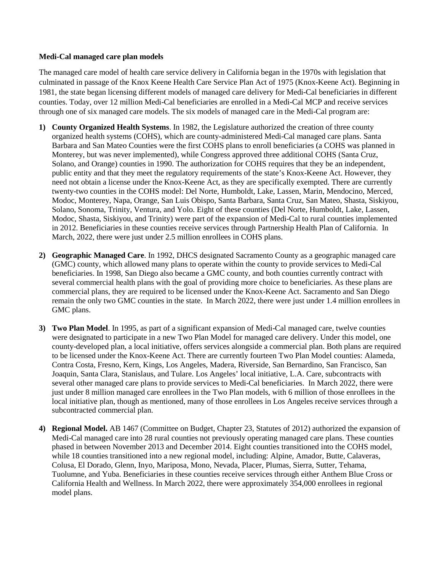#### **Medi-Cal managed care plan models**

The managed care model of health care service delivery in California began in the 1970s with legislation that culminated in passage of the Knox Keene Health Care Service Plan Act of 1975 (Knox-Keene Act). Beginning in 1981, the state began licensing different models of managed care delivery for Medi-Cal beneficiaries in different counties. Today, over 12 million Medi-Cal beneficiaries are enrolled in a Medi-Cal MCP and receive services through one of six managed care models. The six models of managed care in the Medi-Cal program are:

- **1) County Organized Health Systems**. In 1982, the Legislature authorized the creation of three county organized health systems (COHS), which are county-administered Medi-Cal managed care plans. Santa Barbara and San Mateo Counties were the first COHS plans to enroll beneficiaries (a COHS was planned in Monterey, but was never implemented), while Congress approved three additional COHS (Santa Cruz, Solano, and Orange) counties in 1990. The authorization for COHS requires that they be an independent, public entity and that they meet the regulatory requirements of the state's Knox-Keene Act. However, they need not obtain a license under the Knox-Keene Act, as they are specifically exempted. There are currently twenty-two counties in the COHS model: Del Norte, Humboldt, Lake, Lassen, Marin, Mendocino, Merced, Modoc, Monterey, Napa, Orange, San Luis Obispo, Santa Barbara, Santa Cruz, San Mateo, Shasta, Siskiyou, Solano, Sonoma, Trinity, Ventura, and Yolo. Eight of these counties (Del Norte, Humboldt, Lake, Lassen, Modoc, Shasta, Siskiyou, and Trinity) were part of the expansion of Medi-Cal to rural counties implemented in 2012. Beneficiaries in these counties receive services through Partnership Health Plan of California. In March, 2022, there were just under 2.5 million enrollees in COHS plans.
- **2) Geographic Managed Care**. In 1992, DHCS designated Sacramento County as a geographic managed care (GMC) county, which allowed many plans to operate within the county to provide services to Medi-Cal beneficiaries. In 1998, San Diego also became a GMC county, and both counties currently contract with several commercial health plans with the goal of providing more choice to beneficiaries. As these plans are commercial plans, they are required to be licensed under the Knox-Keene Act. Sacramento and San Diego remain the only two GMC counties in the state. In March 2022, there were just under 1.4 million enrollees in GMC plans.
- **3) Two Plan Model**. In 1995, as part of a significant expansion of Medi-Cal managed care, twelve counties were designated to participate in a new Two Plan Model for managed care delivery. Under this model, one county-developed plan, a local initiative, offers services alongside a commercial plan. Both plans are required to be licensed under the Knox-Keene Act. There are currently fourteen Two Plan Model counties: Alameda, Contra Costa, Fresno, Kern, Kings, Los Angeles, Madera, Riverside, San Bernardino, San Francisco, San Joaquin, Santa Clara, Stanislaus, and Tulare. Los Angeles' local initiative, L.A. Care, subcontracts with several other managed care plans to provide services to Medi-Cal beneficiaries. In March 2022, there were just under 8 million managed care enrollees in the Two Plan models, with 6 million of those enrollees in the local initiative plan, though as mentioned, many of those enrollees in Los Angeles receive services through a subcontracted commercial plan.
- **4) Regional Model.** AB 1467 (Committee on Budget, Chapter 23, Statutes of 2012) authorized the expansion of Medi-Cal managed care into 28 rural counties not previously operating managed care plans. These counties phased in between November 2013 and December 2014. Eight counties transitioned into the COHS model, while 18 counties transitioned into a new regional model, including: Alpine, Amador, Butte, Calaveras, Colusa, El Dorado, Glenn, Inyo, Mariposa, Mono, Nevada, Placer, Plumas, Sierra, Sutter, Tehama, Tuolumne, and Yuba. Beneficiaries in these counties receive services through either Anthem Blue Cross or California Health and Wellness. In March 2022, there were approximately 354,000 enrollees in regional model plans.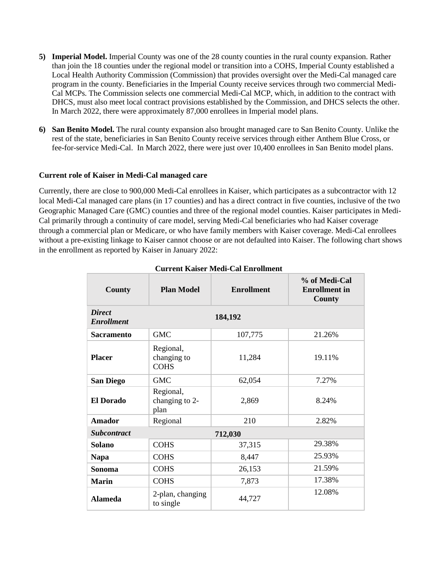- **5) Imperial Model.** Imperial County was one of the 28 county counties in the rural county expansion. Rather than join the 18 counties under the regional model or transition into a COHS, Imperial County established a Local Health Authority Commission (Commission) that provides oversight over the Medi-Cal managed care program in the county. Beneficiaries in the Imperial County receive services through two commercial Medi-Cal MCPs. The Commission selects one commercial Medi-Cal MCP, which, in addition to the contract with DHCS, must also meet local contract provisions established by the Commission, and DHCS selects the other. In March 2022, there were approximately 87,000 enrollees in Imperial model plans.
- **6) San Benito Model.** The rural county expansion also brought managed care to San Benito County. Unlike the rest of the state, beneficiaries in San Benito County receive services through either Anthem Blue Cross, or fee-for-service Medi-Cal. In March 2022, there were just over 10,400 enrollees in San Benito model plans.

### **Current role of Kaiser in Medi-Cal managed care**

Currently, there are close to 900,000 Medi-Cal enrollees in Kaiser, which participates as a subcontractor with 12 local Medi-Cal managed care plans (in 17 counties) and has a direct contract in five counties, inclusive of the two Geographic Managed Care (GMC) counties and three of the regional model counties. Kaiser participates in Medi-Cal primarily through a continuity of care model, serving Medi-Cal beneficiaries who had Kaiser coverage through a commercial plan or Medicare, or who have family members with Kaiser coverage. Medi-Cal enrollees without a pre-existing linkage to Kaiser cannot choose or are not defaulted into Kaiser. The following chart shows in the enrollment as reported by Kaiser in January 2022:

| County                                        | <b>Plan Model</b>                       | <b>Enrollment</b> | % of Medi-Cal<br><b>Enrollment</b> in<br>County |  |
|-----------------------------------------------|-----------------------------------------|-------------------|-------------------------------------------------|--|
| <b>Direct</b><br>184,192<br><b>Enrollment</b> |                                         |                   |                                                 |  |
| <b>Sacramento</b>                             | <b>GMC</b>                              | 107,775           | 21.26%                                          |  |
| <b>Placer</b>                                 | Regional,<br>changing to<br><b>COHS</b> | 11,284            | 19.11%                                          |  |
| <b>San Diego</b>                              | <b>GMC</b>                              | 62,054            | 7.27%                                           |  |
| <b>El Dorado</b>                              | Regional,<br>changing to 2-<br>plan     | 2,869             | 8.24%                                           |  |
| <b>Amador</b>                                 | Regional                                | 210               | 2.82%                                           |  |
| <b>Subcontract</b><br>712,030                 |                                         |                   |                                                 |  |
| Solano                                        | <b>COHS</b>                             | 37,315            | 29.38%                                          |  |
| <b>Napa</b>                                   | <b>COHS</b>                             | 8,447             | 25.93%                                          |  |
| Sonoma                                        | <b>COHS</b>                             | 26,153            | 21.59%                                          |  |
| <b>Marin</b>                                  | <b>COHS</b>                             | 7,873             | 17.38%                                          |  |
| <b>Alameda</b>                                | 2-plan, changing<br>to single           | 44,727            | 12.08%                                          |  |

### **Current Kaiser Medi-Cal Enrollment**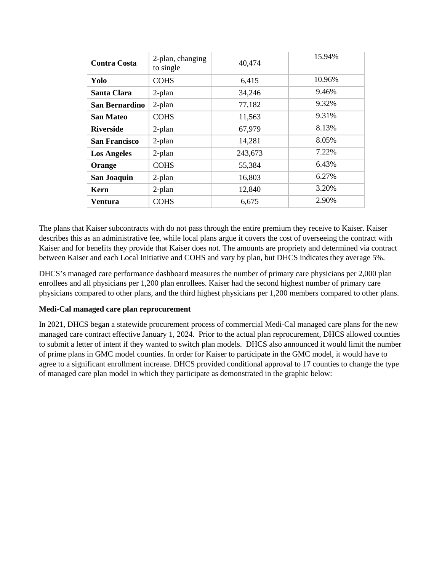| <b>Contra Costa</b>  | 2-plan, changing<br>to single | 40,474  | 15.94% |
|----------------------|-------------------------------|---------|--------|
| Yolo                 | <b>COHS</b>                   | 6,415   | 10.96% |
| Santa Clara          | $2$ -plan                     | 34,246  | 9.46%  |
| San Bernardino       | $2$ -plan                     | 77,182  | 9.32%  |
| <b>San Mateo</b>     | <b>COHS</b>                   | 11,563  | 9.31%  |
| <b>Riverside</b>     | $2$ -plan                     | 67,979  | 8.13%  |
| <b>San Francisco</b> | 2-plan                        | 14,281  | 8.05%  |
| <b>Los Angeles</b>   | $2$ -plan                     | 243,673 | 7.22%  |
| Orange               | <b>COHS</b>                   | 55,384  | 6.43%  |
| <b>San Joaquin</b>   | $2$ -plan                     | 16,803  | 6.27%  |
| Kern                 | 2-plan                        | 12,840  | 3.20%  |
| <b>Ventura</b>       | <b>COHS</b>                   | 6,675   | 2.90%  |

The plans that Kaiser subcontracts with do not pass through the entire premium they receive to Kaiser. Kaiser describes this as an administrative fee, while local plans argue it covers the cost of overseeing the contract with Kaiser and for benefits they provide that Kaiser does not. The amounts are propriety and determined via contract between Kaiser and each Local Initiative and COHS and vary by plan, but DHCS indicates they average 5%.

DHCS's managed care performance dashboard measures the number of primary care physicians per 2,000 plan enrollees and all physicians per 1,200 plan enrollees. Kaiser had the second highest number of primary care physicians compared to other plans, and the third highest physicians per 1,200 members compared to other plans.

## **Medi-Cal managed care plan reprocurement**

In 2021, DHCS began a statewide procurement process of commercial Medi-Cal managed care plans for the new managed care contract effective January 1, 2024. Prior to the actual plan reprocurement, DHCS allowed counties to submit a letter of intent if they wanted to switch plan models. DHCS also announced it would limit the number of prime plans in GMC model counties. In order for Kaiser to participate in the GMC model, it would have to agree to a significant enrollment increase. DHCS provided conditional approval to 17 counties to change the type of managed care plan model in which they participate as demonstrated in the graphic below: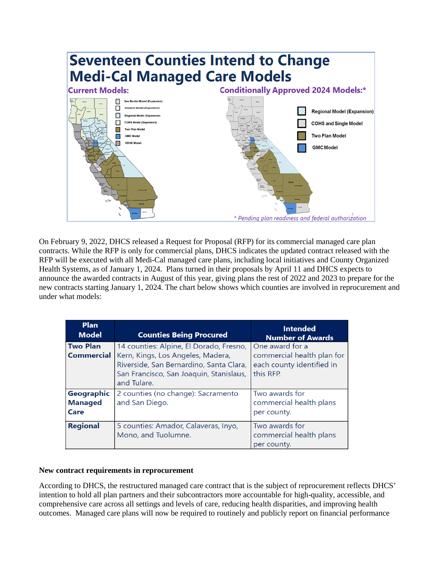

On February 9, 2022, DHCS released a Request for Proposal (RFP) for its commercial managed care plan contracts. While the RFP is only for commercial plans, DHCS indicates the updated contract released with the RFP will be executed with all Medi-Cal managed care plans, including local initiatives and County Organized Health Systems, as of January 1, 2024. Plans turned in their proposals by April 11 and DHCS expects to announce the awarded contracts in August of this year, giving plans the rest of 2022 and 2023 to prepare for the new contracts starting January 1, 2024. The chart below shows which counties are involved in reprocurement and under what models:

| <b>Plan</b><br><b>Model</b>          | <b>Counties Being Procured</b>                                                                                                                                                    | <b>Intended</b><br><b>Number of Awards</b>                                              |
|--------------------------------------|-----------------------------------------------------------------------------------------------------------------------------------------------------------------------------------|-----------------------------------------------------------------------------------------|
| <b>Two Plan</b><br><b>Commercial</b> | 14 counties: Alpine, El Dorado, Fresno,<br>Kern, Kings, Los Angeles, Madera,<br>Riverside, San Bernardino, Santa Clara,<br>San Francisco, San Joaquin, Stanislaus,<br>and Tulare. | One award for a<br>commercial health plan for<br>each county identified in<br>this RFP. |
| Geographic<br><b>Managed</b><br>Care | 2 counties (no change): Sacramento<br>and San Diego.                                                                                                                              | Two awards for<br>commercial health plans<br>per county.                                |
| <b>Regional</b>                      | 5 counties: Amador, Calaveras, Inyo,<br>Mono, and Tuolumne.                                                                                                                       | Two awards for<br>commercial health plans<br>per county.                                |

### **New contract requirements in reprocurement**

According to DHCS, the restructured managed care contract that is the subject of reprocurement reflects DHCS' intention to hold all plan partners and their subcontractors more accountable for high-quality, accessible, and comprehensive care across all settings and levels of care, reducing health disparities, and improving health outcomes. Managed care plans will now be required to routinely and publicly report on financial performance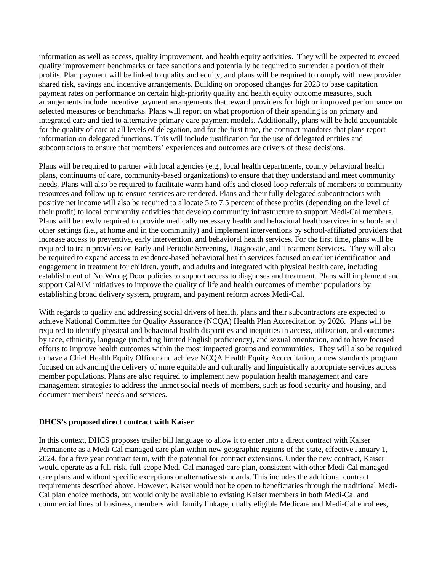information as well as access, quality improvement, and health equity activities. They will be expected to exceed quality improvement benchmarks or face sanctions and potentially be required to surrender a portion of their profits. Plan payment will be linked to quality and equity, and plans will be required to comply with new provider shared risk, savings and incentive arrangements. Building on proposed changes for 2023 to base capitation payment rates on performance on certain high-priority quality and health equity outcome measures, such arrangements include incentive payment arrangements that reward providers for high or improved performance on selected measures or benchmarks. Plans will report on what proportion of their spending is on primary and integrated care and tied to alternative primary care payment models. Additionally, plans will be held accountable for the quality of care at all levels of delegation, and for the first time, the contract mandates that plans report information on delegated functions. This will include justification for the use of delegated entities and subcontractors to ensure that members' experiences and outcomes are drivers of these decisions.

Plans will be required to partner with local agencies (e.g., local health departments, county behavioral health plans, continuums of care, community-based organizations) to ensure that they understand and meet community needs. Plans will also be required to facilitate warm hand-offs and closed-loop referrals of members to community resources and follow-up to ensure services are rendered. Plans and their fully delegated subcontractors with positive net income will also be required to allocate 5 to 7.5 percent of these profits (depending on the level of their profit) to local community activities that develop community infrastructure to support Medi-Cal members. Plans will be newly required to provide medically necessary health and behavioral health services in schools and other settings (i.e., at home and in the community) and implement interventions by school-affiliated providers that increase access to preventive, early intervention, and behavioral health services. For the first time, plans will be required to train providers on Early and Periodic Screening, Diagnostic, and Treatment Services. They will also be required to expand access to evidence-based behavioral health services focused on earlier identification and engagement in treatment for children, youth, and adults and integrated with physical health care, including establishment of No Wrong Door policies to support access to diagnoses and treatment. Plans will implement and support CalAIM initiatives to improve the quality of life and health outcomes of member populations by establishing broad delivery system, program, and payment reform across Medi-Cal.

With regards to quality and addressing social drivers of health, plans and their subcontractors are expected to achieve National Committee for Quality Assurance (NCQA) Health Plan Accreditation by 2026. Plans will be required to identify physical and behavioral health disparities and inequities in access, utilization, and outcomes by race, ethnicity, language (including limited English proficiency), and sexual orientation, and to have focused efforts to improve health outcomes within the most impacted groups and communities. They will also be required to have a Chief Health Equity Officer and achieve NCQA Health Equity Accreditation, a new standards program focused on advancing the delivery of more equitable and culturally and linguistically appropriate services across member populations. Plans are also required to implement new population health management and care management strategies to address the unmet social needs of members, such as food security and housing, and document members' needs and services.

### **DHCS's proposed direct contract with Kaiser**

In this context, DHCS proposes trailer bill language to allow it to enter into a direct contract with Kaiser Permanente as a Medi-Cal managed care plan within new geographic regions of the state, effective January 1, 2024, for a five year contract term, with the potential for contract extensions. Under the new contract, Kaiser would operate as a full-risk, full-scope Medi-Cal managed care plan, consistent with other Medi-Cal managed care plans and without specific exceptions or alternative standards. This includes the additional contract requirements described above. However, Kaiser would not be open to beneficiaries through the traditional Medi-Cal plan choice methods, but would only be available to existing Kaiser members in both Medi-Cal and commercial lines of business, members with family linkage, dually eligible Medicare and Medi-Cal enrollees,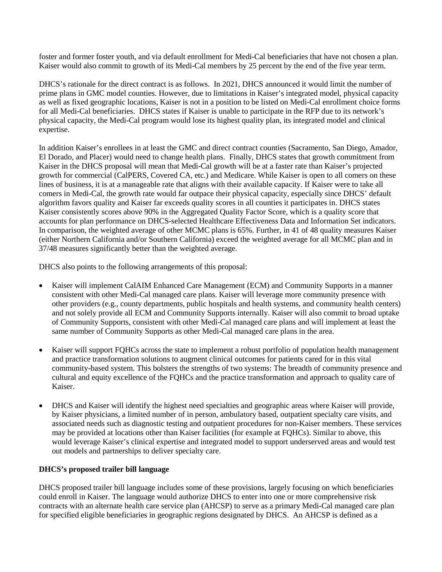foster and former foster youth, and via default enrollment for Medi-Cal beneficiaries that have not chosen a plan. Kaiser would also commit to growth of its Medi-Cal members by 25 percent by the end of the five year term.

DHCS's rationale for the direct contract is as follows. In 2021, DHCS announced it would limit the number of prime plans in GMC model counties. However, due to limitations in Kaiser's integrated model, physical capacity as well as fixed geographic locations, Kaiser is not in a position to be listed on Medi-Cal enrollment choice forms for all Medi-Cal beneficiaries. DHCS states if Kaiser is unable to participate in the RFP due to its network's physical capacity, the Medi-Cal program would lose its highest quality plan, its integrated model and clinical expertise.

In addition Kaiser's enrollees in at least the GMC and direct contract counties (Sacramento, San Diego, Amador, El Dorado, and Placer) would need to change health plans. Finally, DHCS states that growth commitment from Kaiser in the DHCS proposal will mean that Medi-Cal growth will be at a faster rate than Kaiser's projected growth for commercial (CalPERS, Covered CA, etc.) and Medicare. While Kaiser is open to all comers on these lines of business, it is at a manageable rate that aligns with their available capacity. If Kaiser were to take all comers in Medi-Cal, the growth rate would far outpace their physical capacity, especially since DHCS' default algorithm favors quality and Kaiser far exceeds quality scores in all counties it participates in. DHCS states Kaiser consistently scores above 90% in the Aggregated Quality Factor Score, which is a quality score that accounts for plan performance on DHCS-selected Healthcare Effectiveness Data and Information Set indicators. In comparison, the weighted average of other MCMC plans is 65%. Further, in 41 of 48 quality measures Kaiser (either Northern California and/or Southern California) exceed the weighted average for all MCMC plan and in 37/48 measures significantly better than the weighted average.

DHCS also points to the following arrangements of this proposal:

- Kaiser will implement CalAIM Enhanced Care Management (ECM) and Community Supports in a manner consistent with other Medi-Cal managed care plans. Kaiser will leverage more community presence with other providers (e.g., county departments, public hospitals and health systems, and community health centers) and not solely provide all ECM and Community Supports internally. Kaiser will also commit to broad uptake of Community Supports, consistent with other Medi-Cal managed care plans and will implement at least the same number of Community Supports as other Medi-Cal managed care plans in the area.
- Kaiser will support FQHCs across the state to implement a robust portfolio of population health management and practice transformation solutions to augment clinical outcomes for patients cared for in this vital community-based system. This bolsters the strengths of two systems: The breadth of community presence and cultural and equity excellence of the FQHCs and the practice transformation and approach to quality care of Kaiser.
- DHCS and Kaiser will identify the highest need specialties and geographic areas where Kaiser will provide, by Kaiser physicians, a limited number of in person, ambulatory based, outpatient specialty care visits, and associated needs such as diagnostic testing and outpatient procedures for non-Kaiser members. These services may be provided at locations other than Kaiser facilities (for example at FQHCs). Similar to above, this would leverage Kaiser's clinical expertise and integrated model to support underserved areas and would test out models and partnerships to deliver specialty care.

## **DHCS's proposed trailer bill language**

DHCS proposed trailer bill language includes some of these provisions, largely focusing on which beneficiaries could enroll in Kaiser. The language would authorize DHCS to enter into one or more comprehensive risk contracts with an alternate health care service plan (AHCSP) to serve as a primary Medi-Cal managed care plan for specified eligible beneficiaries in geographic regions designated by DHCS. An AHCSP is defined as a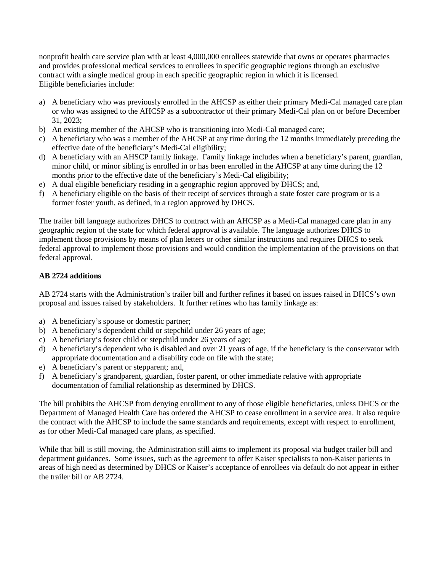nonprofit health care service plan with at least 4,000,000 enrollees statewide that owns or operates pharmacies and provides professional medical services to enrollees in specific geographic regions through an exclusive contract with a single medical group in each specific geographic region in which it is licensed. Eligible beneficiaries include:

- a) A beneficiary who was previously enrolled in the AHCSP as either their primary Medi-Cal managed care plan or who was assigned to the AHCSP as a subcontractor of their primary Medi-Cal plan on or before December 31, 2023;
- b) An existing member of the AHCSP who is transitioning into Medi-Cal managed care;
- c) A beneficiary who was a member of the AHCSP at any time during the 12 months immediately preceding the effective date of the beneficiary's Medi-Cal eligibility;
- d) A beneficiary with an AHSCP family linkage. Family linkage includes when a beneficiary's parent, guardian, minor child, or minor sibling is enrolled in or has been enrolled in the AHCSP at any time during the 12 months prior to the effective date of the beneficiary's Medi-Cal eligibility;
- e) A dual eligible beneficiary residing in a geographic region approved by DHCS; and,
- f) A beneficiary eligible on the basis of their receipt of services through a state foster care program or is a former foster youth, as defined, in a region approved by DHCS.

The trailer bill language authorizes DHCS to contract with an AHCSP as a Medi-Cal managed care plan in any geographic region of the state for which federal approval is available. The language authorizes DHCS to implement those provisions by means of plan letters or other similar instructions and requires DHCS to seek federal approval to implement those provisions and would condition the implementation of the provisions on that federal approval.

## **AB 2724 additions**

AB 2724 starts with the Administration's trailer bill and further refines it based on issues raised in DHCS's own proposal and issues raised by stakeholders. It further refines who has family linkage as:

- a) A beneficiary's spouse or domestic partner;
- b) A beneficiary's dependent child or stepchild under 26 years of age;
- c) A beneficiary's foster child or stepchild under 26 years of age;
- d) A beneficiary's dependent who is disabled and over 21 years of age, if the beneficiary is the conservator with appropriate documentation and a disability code on file with the state;
- e) A beneficiary's parent or stepparent; and,
- f) A beneficiary's grandparent, guardian, foster parent, or other immediate relative with appropriate documentation of familial relationship as determined by DHCS.

The bill prohibits the AHCSP from denying enrollment to any of those eligible beneficiaries, unless DHCS or the Department of Managed Health Care has ordered the AHCSP to cease enrollment in a service area. It also require the contract with the AHCSP to include the same standards and requirements, except with respect to enrollment, as for other Medi-Cal managed care plans, as specified.

While that bill is still moving, the Administration still aims to implement its proposal via budget trailer bill and department guidances. Some issues, such as the agreement to offer Kaiser specialists to non-Kaiser patients in areas of high need as determined by DHCS or Kaiser's acceptance of enrollees via default do not appear in either the trailer bill or AB 2724.